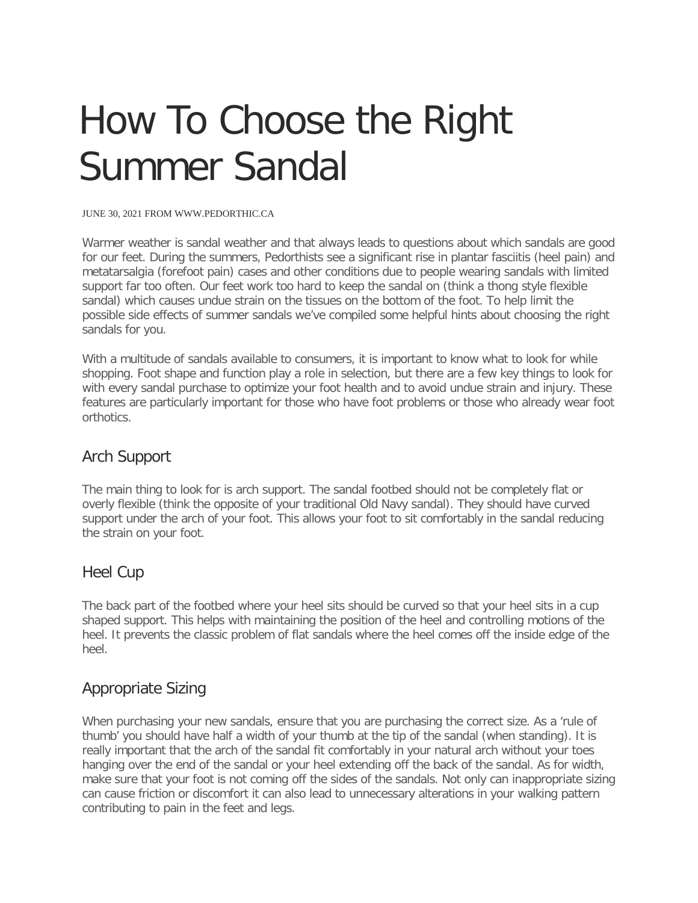# How To Choose the Right Summer Sandal

JUNE 30, 2021 FROM WWW.PEDORTHIC.CA

Warmer weather is sandal weather and that always leads to questions about which sandals are good for our feet. During the summers, Pedorthists see a significant rise in plantar fasciitis (heel pain) and metatarsalgia (forefoot pain) cases and other conditions due to people wearing sandals with limited support far too often. Our feet work too hard to keep the sandal on (think a thong style flexible sandal) which causes undue strain on the tissues on the bottom of the foot. To help limit the possible side effects of summer sandals we've compiled some helpful hints about choosing the right sandals for you.

With a multitude of sandals available to consumers, it is important to know what to look for while shopping. Foot shape and function play a role in selection, but there are a few key things to look for with every sandal purchase to optimize your foot health and to avoid undue strain and injury. These features are particularly important for those who have foot problems or those who already wear foot orthotics.

### Arch Support

The main thing to look for is arch support. The sandal footbed should not be completely flat or overly flexible (think the opposite of your traditional Old Navy sandal). They should have curved support under the arch of your foot. This allows your foot to sit comfortably in the sandal reducing the strain on your foot.

#### Heel Cup

The back part of the footbed where your heel sits should be curved so that your heel sits in a cup shaped support. This helps with maintaining the position of the heel and controlling motions of the heel. It prevents the classic problem of flat sandals where the heel comes off the inside edge of the heel.

# Appropriate Sizing

When purchasing your new sandals, ensure that you are purchasing the correct size. As a 'rule of thumb' you should have half a width of your thumb at the tip of the sandal (when standing). It is really important that the arch of the sandal fit comfortably in your natural arch without your toes hanging over the end of the sandal or your heel extending off the back of the sandal. As for width, make sure that your foot is not coming off the sides of the sandals. Not only can inappropriate sizing can cause friction or discomfort it can also lead to unnecessary alterations in your walking pattern contributing to pain in the feet and legs.